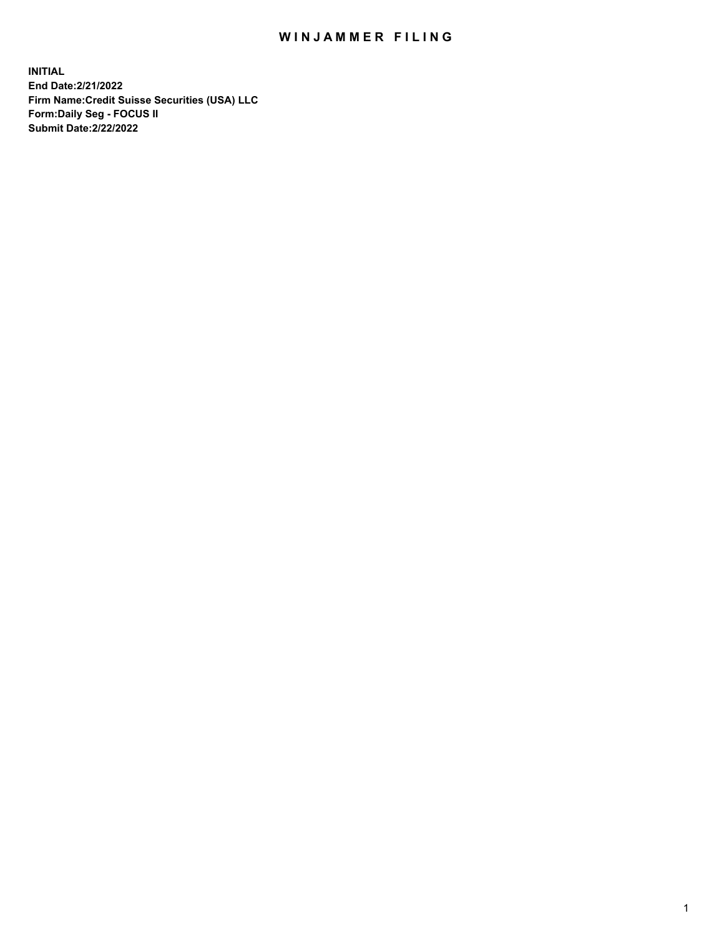## WIN JAMMER FILING

**INITIAL End Date:2/21/2022 Firm Name:Credit Suisse Securities (USA) LLC Form:Daily Seg - FOCUS II Submit Date:2/22/2022**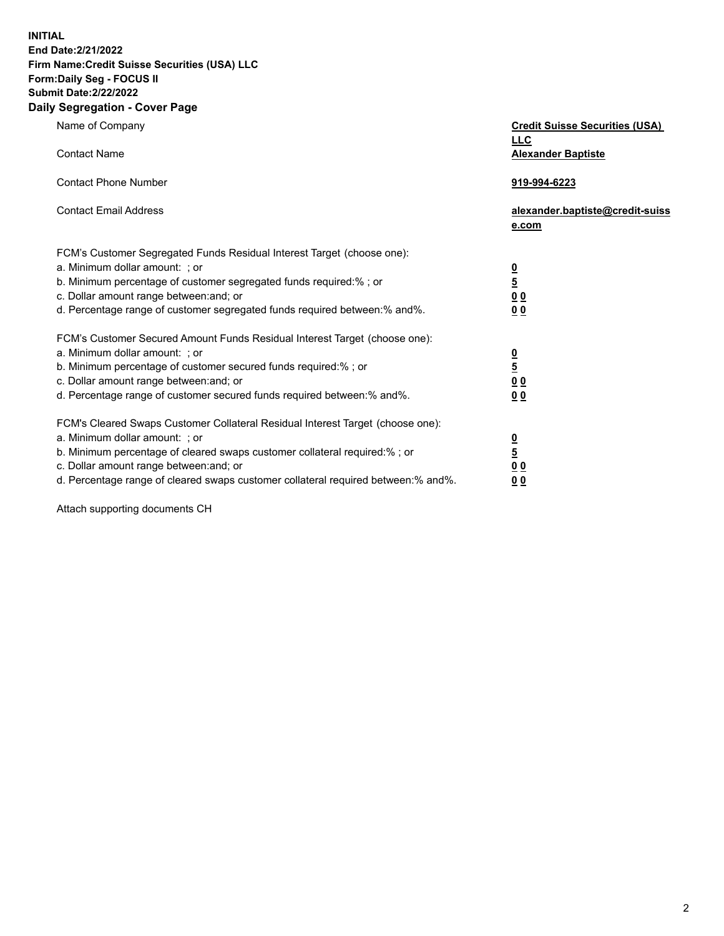**INITIAL End Date:2/21/2022** 

## **Firm Name:Credit Suisse Securities (USA) LLC Form:Daily Seg - FOCUS II Submit Date:2/22/2022**

## **Daily Segregation - Cover Page**

| Name of Company                                                                                                                                                                                                                                                                                                                | <b>Credit Suisse Securities (USA)</b><br><b>LLC</b>                |
|--------------------------------------------------------------------------------------------------------------------------------------------------------------------------------------------------------------------------------------------------------------------------------------------------------------------------------|--------------------------------------------------------------------|
| <b>Contact Name</b>                                                                                                                                                                                                                                                                                                            | <b>Alexander Baptiste</b>                                          |
| <b>Contact Phone Number</b>                                                                                                                                                                                                                                                                                                    | 919-994-6223                                                       |
| <b>Contact Email Address</b>                                                                                                                                                                                                                                                                                                   | alexander.baptiste@credit-suiss<br>e.com                           |
| FCM's Customer Segregated Funds Residual Interest Target (choose one):<br>a. Minimum dollar amount: ; or<br>b. Minimum percentage of customer segregated funds required:% ; or<br>c. Dollar amount range between: and; or<br>d. Percentage range of customer segregated funds required between:% and%.                         | $\frac{0}{\frac{5}{0}}$<br>0 <sub>0</sub>                          |
| FCM's Customer Secured Amount Funds Residual Interest Target (choose one):<br>a. Minimum dollar amount: ; or<br>b. Minimum percentage of customer secured funds required:%; or<br>c. Dollar amount range between: and; or<br>d. Percentage range of customer secured funds required between:% and%.                            | $\frac{0}{5}$<br>$\underline{0}$ $\underline{0}$<br>0 <sub>0</sub> |
| FCM's Cleared Swaps Customer Collateral Residual Interest Target (choose one):<br>a. Minimum dollar amount: ; or<br>b. Minimum percentage of cleared swaps customer collateral required:% ; or<br>c. Dollar amount range between: and; or<br>d. Percentage range of cleared swaps customer collateral required between:% and%. | $\frac{0}{5}$<br>0 <sub>0</sub><br>0 <sub>0</sub>                  |

Attach supporting documents CH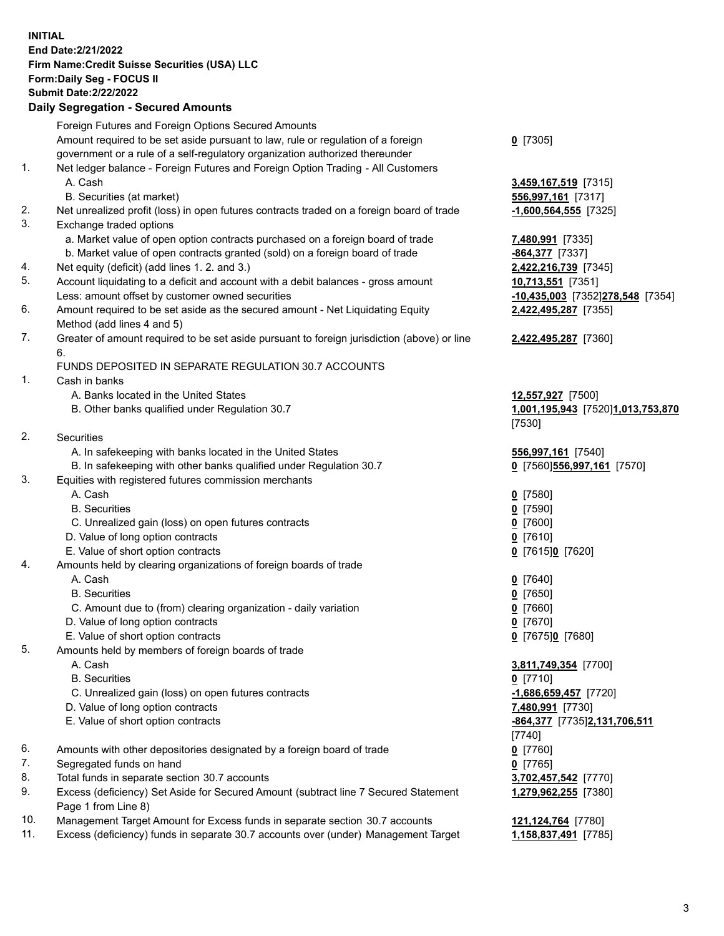**INITIAL End Date:2/21/2022 Firm Name:Credit Suisse Securities (USA) LLC Form:Daily Seg - FOCUS II Submit Date:2/22/2022** 

## **Daily Segregation - Secured Amounts**

|          | Foreign Futures and Foreign Options Secured Amounts                                                        |                                   |
|----------|------------------------------------------------------------------------------------------------------------|-----------------------------------|
|          | Amount required to be set aside pursuant to law, rule or regulation of a foreign                           | $0$ [7305]                        |
|          | government or a rule of a self-regulatory organization authorized thereunder                               |                                   |
| 1.       | Net ledger balance - Foreign Futures and Foreign Option Trading - All Customers<br>A. Cash                 | 3,459,167,519 [7315]              |
|          | B. Securities (at market)                                                                                  | 556,997,161 [7317]                |
| 2.       | Net unrealized profit (loss) in open futures contracts traded on a foreign board of trade                  | $-1,600,564,555$ [7325]           |
| 3.       | Exchange traded options                                                                                    |                                   |
|          | a. Market value of open option contracts purchased on a foreign board of trade                             | 7,480,991 [7335]                  |
|          | b. Market value of open contracts granted (sold) on a foreign board of trade                               | -864,377 [7337]                   |
| 4.       | Net equity (deficit) (add lines 1.2. and 3.)                                                               | 2,422,216,739 [7345]              |
| 5.       | Account liquidating to a deficit and account with a debit balances - gross amount                          | 10,713,551 [7351]                 |
|          | Less: amount offset by customer owned securities                                                           | -10,435,003 [7352]278,548 [7354]  |
| 6.       | Amount required to be set aside as the secured amount - Net Liquidating Equity                             | 2,422,495,287 [7355]              |
|          | Method (add lines 4 and 5)                                                                                 |                                   |
| 7.       | Greater of amount required to be set aside pursuant to foreign jurisdiction (above) or line<br>6.          | 2,422,495,287 [7360]              |
|          | FUNDS DEPOSITED IN SEPARATE REGULATION 30.7 ACCOUNTS                                                       |                                   |
| 1.       | Cash in banks                                                                                              |                                   |
|          | A. Banks located in the United States                                                                      | 12,557,927 [7500]                 |
|          | B. Other banks qualified under Regulation 30.7                                                             | 1,001,195,943 [7520]1,013,753,870 |
|          |                                                                                                            | [7530]                            |
| 2.       | <b>Securities</b>                                                                                          |                                   |
|          | A. In safekeeping with banks located in the United States                                                  | 556,997,161 [7540]                |
|          | B. In safekeeping with other banks qualified under Regulation 30.7                                         | 0 [7560] 556, 997, 161 [7570]     |
| 3.       | Equities with registered futures commission merchants                                                      |                                   |
|          | A. Cash                                                                                                    | $0$ [7580]                        |
|          | <b>B.</b> Securities                                                                                       | $0$ [7590]                        |
|          | C. Unrealized gain (loss) on open futures contracts                                                        | $0$ [7600]                        |
|          | D. Value of long option contracts                                                                          | $0$ [7610]                        |
|          | E. Value of short option contracts                                                                         | 0 [7615]0 [7620]                  |
| 4.       | Amounts held by clearing organizations of foreign boards of trade                                          |                                   |
|          | A. Cash                                                                                                    | $0$ [7640]                        |
|          | <b>B.</b> Securities                                                                                       | $0$ [7650]                        |
|          | C. Amount due to (from) clearing organization - daily variation                                            | $0$ [7660]                        |
|          | D. Value of long option contracts                                                                          | $0$ [7670]                        |
|          | E. Value of short option contracts                                                                         | 0 [7675]0 [7680]                  |
| 5.       | Amounts held by members of foreign boards of trade                                                         |                                   |
|          | A. Cash                                                                                                    | 3,811,749,354 [7700]              |
|          | <b>B.</b> Securities                                                                                       | $0$ [7710]                        |
|          | C. Unrealized gain (loss) on open futures contracts                                                        | $-1,686,659,457$ [7720]           |
|          | D. Value of long option contracts                                                                          | 7,480,991 [7730]                  |
|          | E. Value of short option contracts                                                                         | -864,377 [7735]2,131,706,511      |
|          |                                                                                                            |                                   |
| 6.       |                                                                                                            | $[7740]$                          |
| 7.       | Amounts with other depositories designated by a foreign board of trade                                     | $0$ [7760]                        |
|          | Segregated funds on hand                                                                                   | $0$ [7765]                        |
| 8.<br>9. | Total funds in separate section 30.7 accounts                                                              | 3,702,457,542 [7770]              |
|          | Excess (deficiency) Set Aside for Secured Amount (subtract line 7 Secured Statement<br>Page 1 from Line 8) | 1,279,962,255 [7380]              |
| 10.      | Management Target Amount for Excess funds in separate section 30.7 accounts                                | 121, 124, 764 [7780]              |
| 11.      | Excess (deficiency) funds in separate 30.7 accounts over (under) Management Target                         | 1,158,837,491 [7785]              |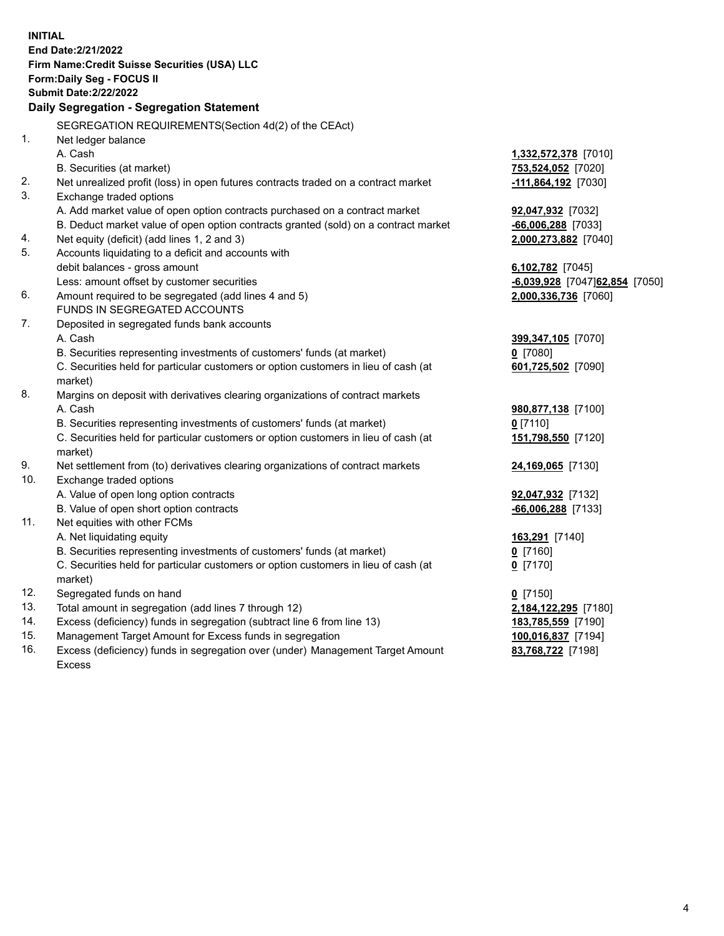15. Management Target Amount for Excess funds in segregation **100,016,837** [7194] 16. Excess (deficiency) funds in segregation over (under) Management Target Amount **83,768,722** [7198] **INITIAL End Date:2/21/2022 Firm Name:Credit Suisse Securities (USA) LLC Form:Daily Seg - FOCUS II Submit Date:2/22/2022 Daily Segregation - Segregation Statement**  SEGREGATION REQUIREMENTS(Section 4d(2) of the CEAct) 1. Net ledger balance A. Cash **1,332,572,378** [7010] B. Securities (at market) **753,524,052** [7020] 2. Net unrealized profit (loss) in open futures contracts traded on a contract market **-111,864,192** [7030] 3. Exchange traded options A. Add market value of open option contracts purchased on a contract market **92,047,932** [7032] B. Deduct market value of open option contracts granted (sold) on a contract market **-66,006,288** [7033] 4. Net equity (deficit) (add lines 1, 2 and 3) **2,000,273,882** [7040] 5. Accounts liquidating to a deficit and accounts with debit balances - gross amount **6,102,782** [7045] Less: amount offset by customer securities **-6,039,928** [7047] **62,854** [7050] 6. Amount required to be segregated (add lines 4 and 5) **2,000,336,736** [7060] FUNDS IN SEGREGATED ACCOUNTS 7. Deposited in segregated funds bank accounts A. Cash **399,347,105** [7070] B. Securities representing investments of customers' funds (at market) **0** [7080] C. Securities held for particular customers or option customers in lieu of cash (at **601,725,502** [7090] market) 8. Margins on deposit with derivatives clearing organizations of contract markets A. Cash **980,877,138** [7100] B. Securities representing investments of customers' funds (at market) **0** [7110] C. Securities held for particular customers or option customers in lieu of cash (at **151,798,550** [7120] market) 9. Net settlement from (to) derivatives clearing organizations of contract markets **24,169,065** [7130] 10. Exchange traded options A. Value of open long option contracts **92,047,932** [7132] B. Value of open short option contracts **-66,006,288** [7133] 11. Net equities with other FCMs A. Net liquidating equity **163,291** [7140] B. Securities representing investments of customers' funds (at market) **0** [7160] C. Securities held for particular customers or option customers in lieu of cash (at **0** [7170] market) 12. Segregated funds on hand **0** [7150] 13. Total amount in segregation (add lines 7 through 12) **2,184,122,295** [7180] 14. Excess (deficiency) funds in segregation (subtract line 6 from line 13) **183,785,559** [7190]

Excess